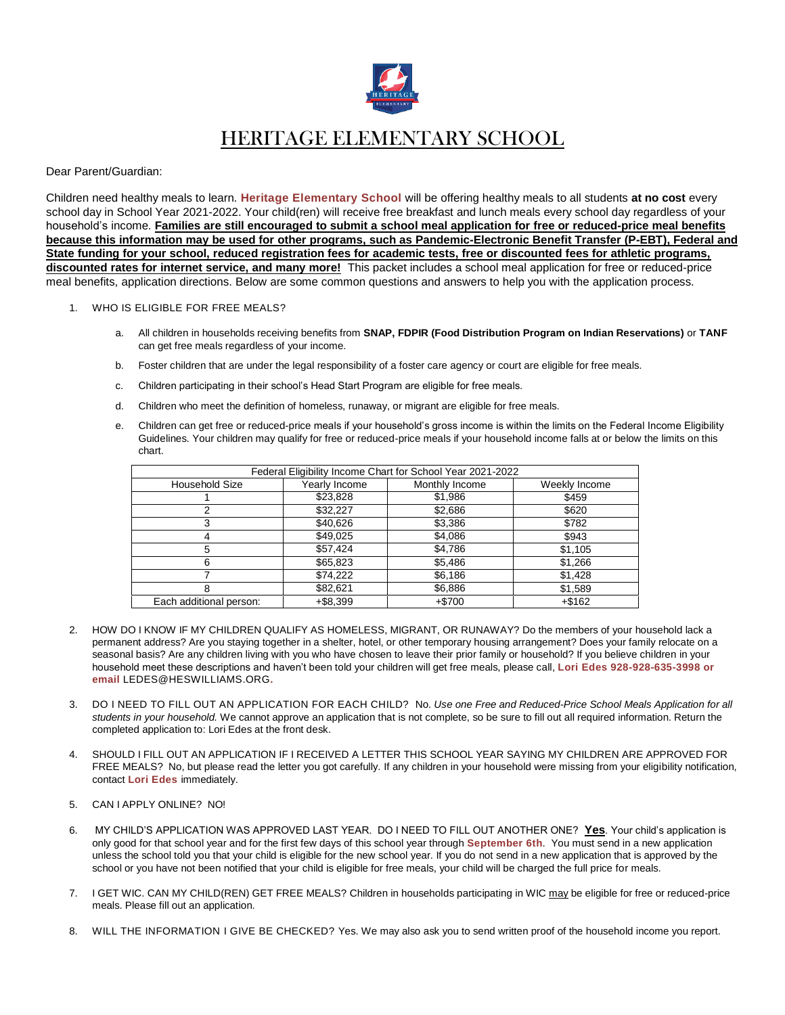

## HERITAGE ELEMENTARY SCHOOL

## Dear Parent/Guardian:

Children need healthy meals to learn. **Heritage Elementary School** will be offering healthy meals to all students **at no cost** every school day in School Year 2021-2022. Your child(ren) will receive free breakfast and lunch meals every school day regardless of your household's income. **Families are still encouraged to submit a school meal application for free or reduced-price meal benefits because this information may be used for other programs, such as Pandemic-Electronic Benefit Transfer (P-EBT), Federal and State funding for your school, reduced registration fees for academic tests, free or discounted fees for athletic programs, discounted rates for internet service, and many more!** This packet includes a school meal application for free or reduced-price meal benefits, application directions. Below are some common questions and answers to help you with the application process.

- 1. WHO IS ELIGIBLE FOR FREE MEALS?
	- a. All children in households receiving benefits from **SNAP, FDPIR (Food Distribution Program on Indian Reservations)** or **TANF** can get free meals regardless of your income.
	- b. Foster children that are under the legal responsibility of a foster care agency or court are eligible for free meals.
	- c. Children participating in their school's Head Start Program are eligible for free meals.
	- d. Children who meet the definition of homeless, runaway, or migrant are eligible for free meals.
	- e. Children can get free or reduced-price meals if your household's gross income is within the limits on the Federal Income Eligibility Guidelines. Your children may qualify for free or reduced-price meals if your household income falls at or below the limits on this chart.

| Federal Eligibility Income Chart for School Year 2021-2022 |               |                |               |
|------------------------------------------------------------|---------------|----------------|---------------|
| <b>Household Size</b>                                      | Yearly Income | Monthly Income | Weekly Income |
|                                                            | \$23,828      | \$1,986        | \$459         |
|                                                            | \$32,227      | \$2,686        | \$620         |
|                                                            | \$40,626      | \$3,386        | \$782         |
|                                                            | \$49,025      | \$4,086        | \$943         |
| 5                                                          | \$57,424      | \$4,786        | \$1,105       |
| ิค                                                         | \$65,823      | \$5,486        | \$1,266       |
|                                                            | \$74,222      | \$6,186        | \$1,428       |
| 8                                                          | \$82.621      | \$6,886        | \$1,589       |
| Each additional person:                                    | +\$8,399      | $+ $700$       | $+ $162$      |

- 2. HOW DO I KNOW IF MY CHILDREN QUALIFY AS HOMELESS, MIGRANT, OR RUNAWAY? Do the members of your household lack a permanent address? Are you staying together in a shelter, hotel, or other temporary housing arrangement? Does your family relocate on a seasonal basis? Are any children living with you who have chosen to leave their prior family or household? If you believe children in your household meet these descriptions and haven't been told your children will get free meals, please call, **Lori Edes 928-928-635-3998 or email** LEDES@HESWILLIAMS.ORG**.**
- 3. DO I NEED TO FILL OUT AN APPLICATION FOR EACH CHILD? No. *Use one Free and Reduced-Price School Meals Application for all students in your household.* We cannot approve an application that is not complete, so be sure to fill out all required information. Return the completed application to: Lori Edes at the front desk.
- 4. SHOULD I FILL OUT AN APPLICATION IF I RECEIVED A LETTER THIS SCHOOL YEAR SAYING MY CHILDREN ARE APPROVED FOR FREE MEALS? No, but please read the letter you got carefully. If any children in your household were missing from your eligibility notification, contact **Lori Edes** immediately.
- 5. CAN I APPLY ONLINE? NO!
- 6. MY CHILD'S APPLICATION WAS APPROVED LAST YEAR. DO I NEED TO FILL OUT ANOTHER ONE? **Yes**. Your child's application is only good for that school year and for the first few days of this school year through **September 6th**. You must send in a new application unless the school told you that your child is eligible for the new school year. If you do not send in a new application that is approved by the school or you have not been notified that your child is eligible for free meals, your child will be charged the full price for meals.
- 7. I GET WIC. CAN MY CHILD(REN) GET FREE MEALS? Children in households participating in WIC may be eligible for free or reduced-price meals. Please fill out an application.
- 8. WILL THE INFORMATION I GIVE BE CHECKED? Yes. We may also ask you to send written proof of the household income you report.